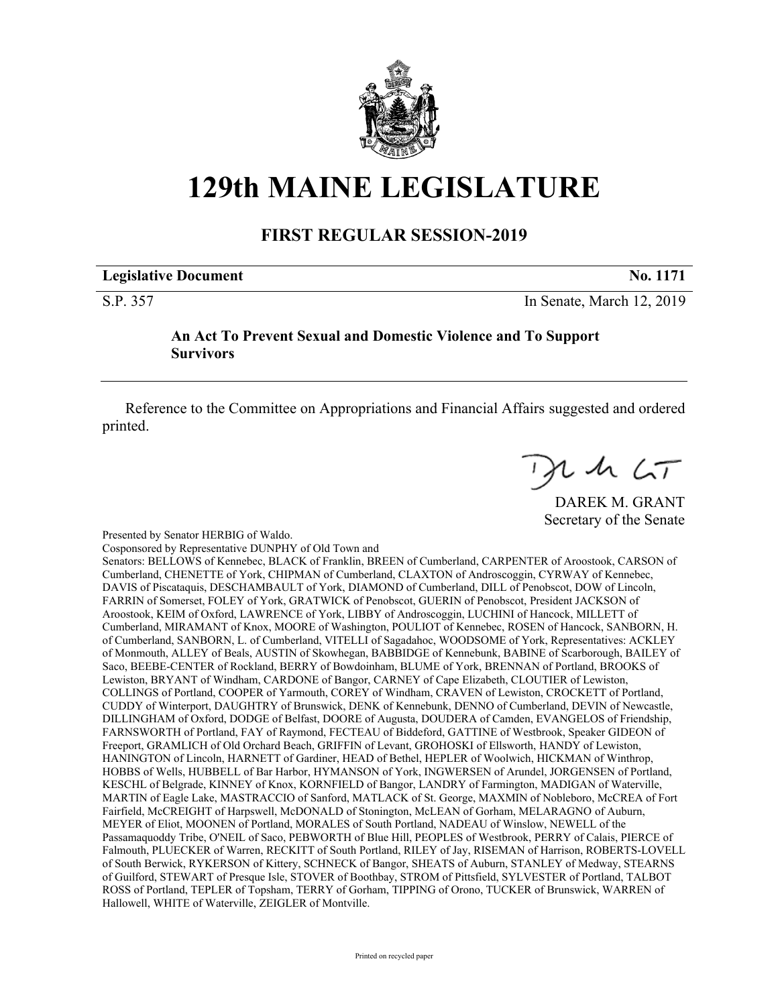

## **129th MAINE LEGISLATURE**

## **FIRST REGULAR SESSION-2019**

## **Legislative Document No. 1171**

S.P. 357 In Senate, March 12, 2019

**An Act To Prevent Sexual and Domestic Violence and To Support Survivors**

Reference to the Committee on Appropriations and Financial Affairs suggested and ordered printed.

 $72467$ 

DAREK M. GRANT Secretary of the Senate

Presented by Senator HERBIG of Waldo.

Cosponsored by Representative DUNPHY of Old Town and

Senators: BELLOWS of Kennebec, BLACK of Franklin, BREEN of Cumberland, CARPENTER of Aroostook, CARSON of Cumberland, CHENETTE of York, CHIPMAN of Cumberland, CLAXTON of Androscoggin, CYRWAY of Kennebec, DAVIS of Piscataquis, DESCHAMBAULT of York, DIAMOND of Cumberland, DILL of Penobscot, DOW of Lincoln, FARRIN of Somerset, FOLEY of York, GRATWICK of Penobscot, GUERIN of Penobscot, President JACKSON of Aroostook, KEIM of Oxford, LAWRENCE of York, LIBBY of Androscoggin, LUCHINI of Hancock, MILLETT of Cumberland, MIRAMANT of Knox, MOORE of Washington, POULIOT of Kennebec, ROSEN of Hancock, SANBORN, H. of Cumberland, SANBORN, L. of Cumberland, VITELLI of Sagadahoc, WOODSOME of York, Representatives: ACKLEY of Monmouth, ALLEY of Beals, AUSTIN of Skowhegan, BABBIDGE of Kennebunk, BABINE of Scarborough, BAILEY of Saco, BEEBE-CENTER of Rockland, BERRY of Bowdoinham, BLUME of York, BRENNAN of Portland, BROOKS of Lewiston, BRYANT of Windham, CARDONE of Bangor, CARNEY of Cape Elizabeth, CLOUTIER of Lewiston, COLLINGS of Portland, COOPER of Yarmouth, COREY of Windham, CRAVEN of Lewiston, CROCKETT of Portland, CUDDY of Winterport, DAUGHTRY of Brunswick, DENK of Kennebunk, DENNO of Cumberland, DEVIN of Newcastle, DILLINGHAM of Oxford, DODGE of Belfast, DOORE of Augusta, DOUDERA of Camden, EVANGELOS of Friendship, FARNSWORTH of Portland, FAY of Raymond, FECTEAU of Biddeford, GATTINE of Westbrook, Speaker GIDEON of Freeport, GRAMLICH of Old Orchard Beach, GRIFFIN of Levant, GROHOSKI of Ellsworth, HANDY of Lewiston, HANINGTON of Lincoln, HARNETT of Gardiner, HEAD of Bethel, HEPLER of Woolwich, HICKMAN of Winthrop, HOBBS of Wells, HUBBELL of Bar Harbor, HYMANSON of York, INGWERSEN of Arundel, JORGENSEN of Portland, KESCHL of Belgrade, KINNEY of Knox, KORNFIELD of Bangor, LANDRY of Farmington, MADIGAN of Waterville, MARTIN of Eagle Lake, MASTRACCIO of Sanford, MATLACK of St. George, MAXMIN of Nobleboro, McCREA of Fort Fairfield, McCREIGHT of Harpswell, McDONALD of Stonington, McLEAN of Gorham, MELARAGNO of Auburn, MEYER of Eliot, MOONEN of Portland, MORALES of South Portland, NADEAU of Winslow, NEWELL of the Passamaquoddy Tribe, O'NEIL of Saco, PEBWORTH of Blue Hill, PEOPLES of Westbrook, PERRY of Calais, PIERCE of Falmouth, PLUECKER of Warren, RECKITT of South Portland, RILEY of Jay, RISEMAN of Harrison, ROBERTS-LOVELL of South Berwick, RYKERSON of Kittery, SCHNECK of Bangor, SHEATS of Auburn, STANLEY of Medway, STEARNS of Guilford, STEWART of Presque Isle, STOVER of Boothbay, STROM of Pittsfield, SYLVESTER of Portland, TALBOT ROSS of Portland, TEPLER of Topsham, TERRY of Gorham, TIPPING of Orono, TUCKER of Brunswick, WARREN of Hallowell, WHITE of Waterville, ZEIGLER of Montville.